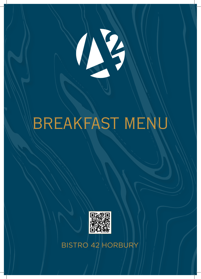

## BREAKFAST MENU



BISTRO 42 HORBURY